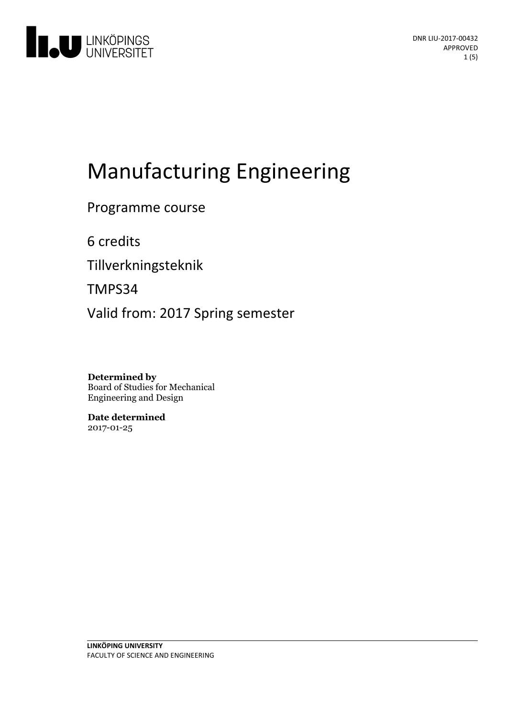

# **Manufacturing Engineering**

Programme course

6 credits

Tillverkningsteknik

TMPS34

Valid from: 2017 Spring semester

**Determined by** Board of Studies for Mechanical Engineering and Design

**Date determined** 2017-01-25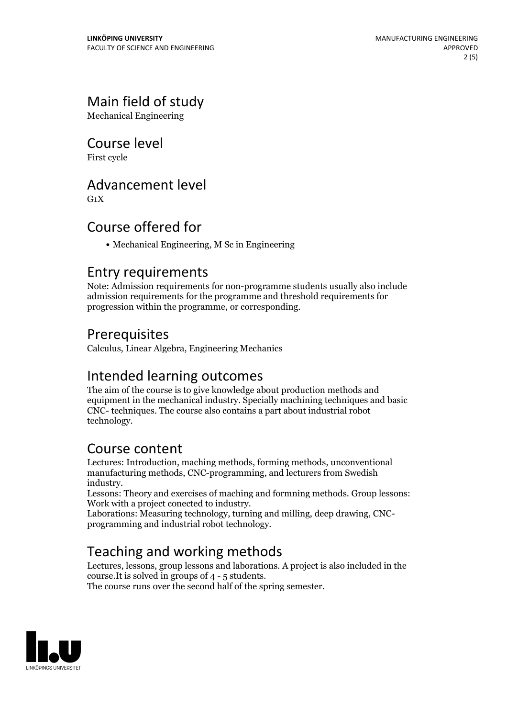# Main field of study

Mechanical Engineering

## Course level

First cycle

#### Advancement level

 $G_1X$ 

# Course offered for

Mechanical Engineering, M Sc in Engineering

#### Entry requirements

Note: Admission requirements for non-programme students usually also include admission requirements for the programme and threshold requirements for progression within the programme, or corresponding.

## **Prerequisites**

Calculus, Linear Algebra, Engineering Mechanics

## Intended learning outcomes

The aim of the course is to give knowledge about production methods and equipment in the mechanical industry. Specially machining techniques and basic CNC- techniques. The course also contains a part about industrial robot technology.

# Course content

Lectures: Introduction, maching methods, forming methods, unconventional manufacturing methods, CNC-programming, and lecturers from Swedish

industry. Lessons: Theory and exercises of maching and formning methods. Group lessons:

Laborations: Measuring technology, turning and milling, deep drawing, CNC- programming and industrial robot technology.

# Teaching and working methods

Lectures, lessons, group lessons and laborations. A project is also included in the course.<br>It is solved in groups of 4 - 5 students. The course runs over the second half of the spring semester.

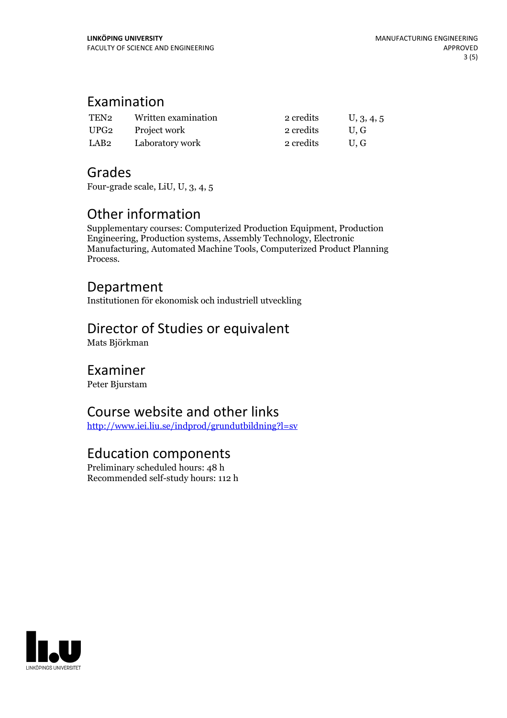# Examination

| TEN <sub>2</sub> | Written examination | 2 credits | U, 3, 4, 5 |
|------------------|---------------------|-----------|------------|
| UPG <sub>2</sub> | Project work        | 2 credits | U.G        |
| LAB2             | Laboratory work     | 2 credits | U.G        |

# Grades

Four-grade scale, LiU, U, 3, 4, 5

# Other information

Supplementary courses: Computerized Production Equipment, Production Engineering, Production systems, Assembly Technology, Electronic Manufacturing, Automated Machine Tools, Computerized Product Planning Process.

#### Department

Institutionen för ekonomisk och industriell utveckling

# Director of Studies or equivalent

Mats Björkman

#### Examiner

Peter Bjurstam

## Course website and other links

<http://www.iei.liu.se/indprod/grundutbildning?l=sv>

## Education components

Preliminary scheduled hours: 48 h Recommended self-study hours: 112 h

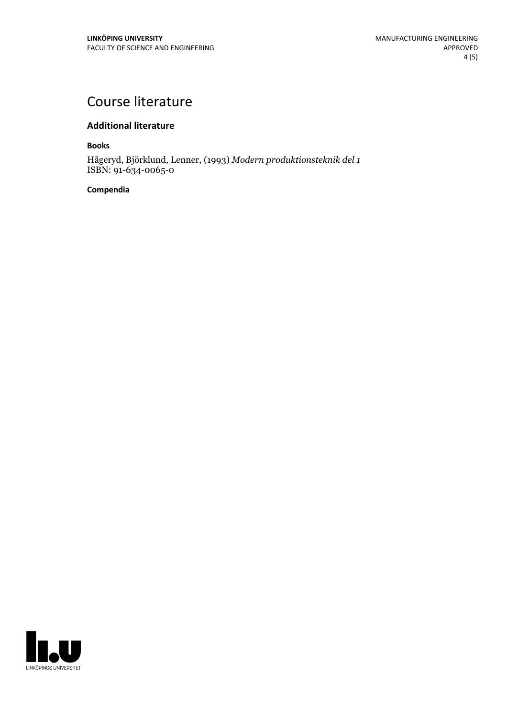# Course literature

#### **Additional literature**

**Books**

Hågeryd, Björklund, Lenner, (1993) *Modern produktionsteknik del 1* ISBN: 91-634-0065-0

#### **Compendia**